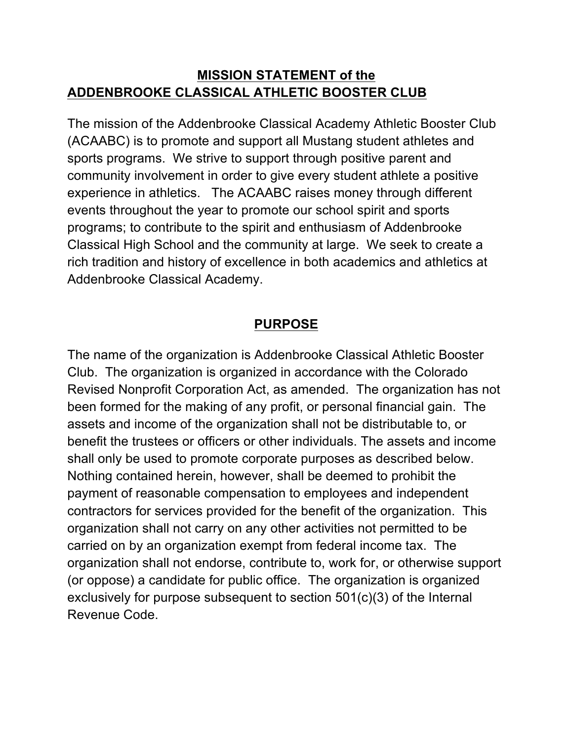#### **MISSION STATEMENT of the ADDENBROOKE CLASSICAL ATHLETIC BOOSTER CLUB**

The mission of the Addenbrooke Classical Academy Athletic Booster Club (ACAABC) is to promote and support all Mustang student athletes and sports programs. We strive to support through positive parent and community involvement in order to give every student athlete a positive experience in athletics. The ACAABC raises money through different events throughout the year to promote our school spirit and sports programs; to contribute to the spirit and enthusiasm of Addenbrooke Classical High School and the community at large. We seek to create a rich tradition and history of excellence in both academics and athletics at Addenbrooke Classical Academy.

### **PURPOSE**

The name of the organization is Addenbrooke Classical Athletic Booster Club. The organization is organized in accordance with the Colorado Revised Nonprofit Corporation Act, as amended. The organization has not been formed for the making of any profit, or personal financial gain. The assets and income of the organization shall not be distributable to, or benefit the trustees or officers or other individuals. The assets and income shall only be used to promote corporate purposes as described below. Nothing contained herein, however, shall be deemed to prohibit the payment of reasonable compensation to employees and independent contractors for services provided for the benefit of the organization. This organization shall not carry on any other activities not permitted to be carried on by an organization exempt from federal income tax. The organization shall not endorse, contribute to, work for, or otherwise support (or oppose) a candidate for public office. The organization is organized exclusively for purpose subsequent to section 501(c)(3) of the Internal Revenue Code.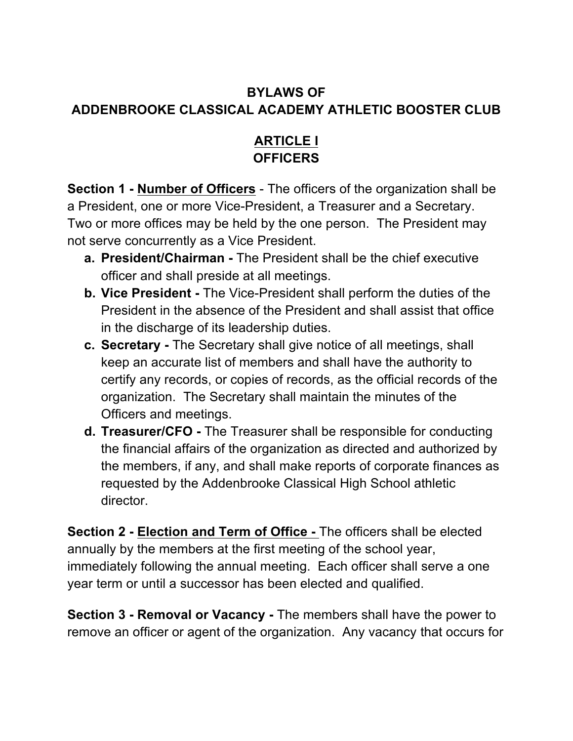# **BYLAWS OF ADDENBROOKE CLASSICAL ACADEMY ATHLETIC BOOSTER CLUB**

## **ARTICLE I OFFICERS**

**Section 1 - Number of Officers** - The officers of the organization shall be a President, one or more Vice-President, a Treasurer and a Secretary. Two or more offices may be held by the one person. The President may not serve concurrently as a Vice President.

- **a. President/Chairman -** The President shall be the chief executive officer and shall preside at all meetings.
- **b. Vice President -** The Vice-President shall perform the duties of the President in the absence of the President and shall assist that office in the discharge of its leadership duties.
- **c. Secretary -** The Secretary shall give notice of all meetings, shall keep an accurate list of members and shall have the authority to certify any records, or copies of records, as the official records of the organization. The Secretary shall maintain the minutes of the Officers and meetings.
- **d. Treasurer/CFO -** The Treasurer shall be responsible for conducting the financial affairs of the organization as directed and authorized by the members, if any, and shall make reports of corporate finances as requested by the Addenbrooke Classical High School athletic director.

**Section 2 - Election and Term of Office -** The officers shall be elected annually by the members at the first meeting of the school year, immediately following the annual meeting. Each officer shall serve a one year term or until a successor has been elected and qualified.

**Section 3 - Removal or Vacancy -** The members shall have the power to remove an officer or agent of the organization. Any vacancy that occurs for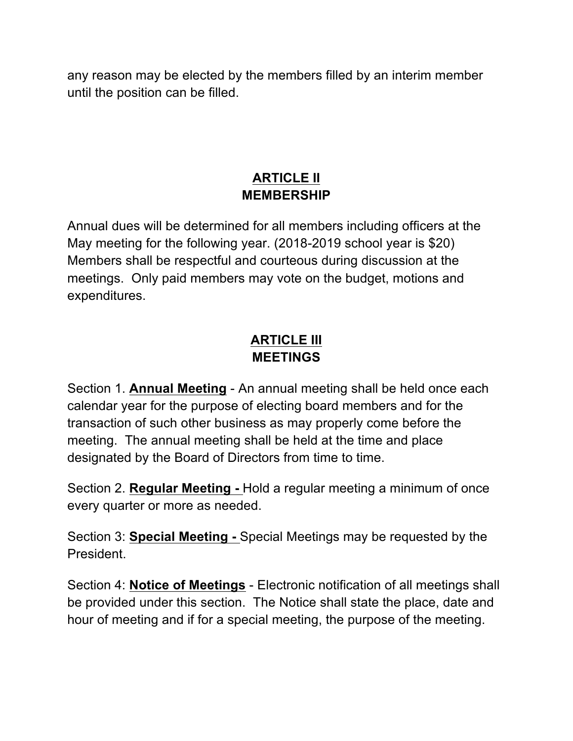any reason may be elected by the members filled by an interim member until the position can be filled.

### **ARTICLE II MEMBERSHIP**

Annual dues will be determined for all members including officers at the May meeting for the following year. (2018-2019 school year is \$20) Members shall be respectful and courteous during discussion at the meetings. Only paid members may vote on the budget, motions and expenditures.

# **ARTICLE III MEETINGS**

Section 1. **Annual Meeting** - An annual meeting shall be held once each calendar year for the purpose of electing board members and for the transaction of such other business as may properly come before the meeting. The annual meeting shall be held at the time and place designated by the Board of Directors from time to time.

Section 2. **Regular Meeting -** Hold a regular meeting a minimum of once every quarter or more as needed.

Section 3: **Special Meeting -** Special Meetings may be requested by the President.

Section 4: **Notice of Meetings** - Electronic notification of all meetings shall be provided under this section. The Notice shall state the place, date and hour of meeting and if for a special meeting, the purpose of the meeting.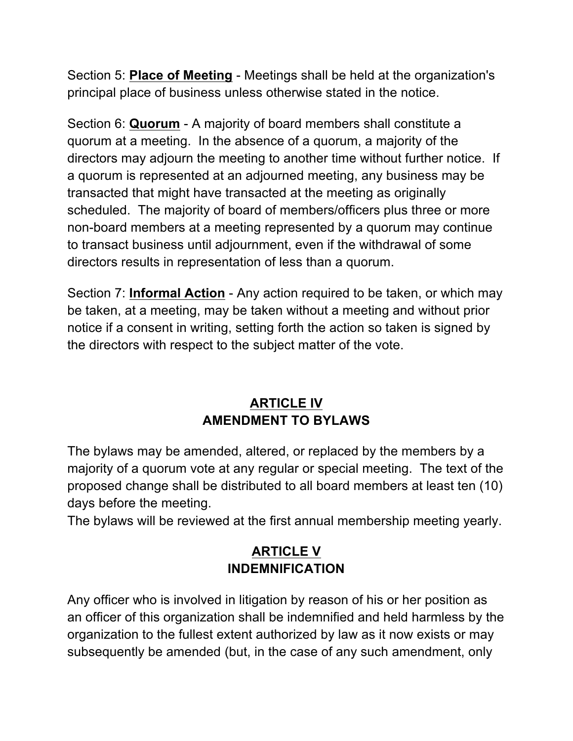Section 5: **Place of Meeting** - Meetings shall be held at the organization's principal place of business unless otherwise stated in the notice.

Section 6: **Quorum** - A majority of board members shall constitute a quorum at a meeting. In the absence of a quorum, a majority of the directors may adjourn the meeting to another time without further notice. If a quorum is represented at an adjourned meeting, any business may be transacted that might have transacted at the meeting as originally scheduled. The majority of board of members/officers plus three or more non-board members at a meeting represented by a quorum may continue to transact business until adjournment, even if the withdrawal of some directors results in representation of less than a quorum.

Section 7: **Informal Action** - Any action required to be taken, or which may be taken, at a meeting, may be taken without a meeting and without prior notice if a consent in writing, setting forth the action so taken is signed by the directors with respect to the subject matter of the vote.

### **ARTICLE IV AMENDMENT TO BYLAWS**

The bylaws may be amended, altered, or replaced by the members by a majority of a quorum vote at any regular or special meeting. The text of the proposed change shall be distributed to all board members at least ten (10) days before the meeting.

The bylaws will be reviewed at the first annual membership meeting yearly.

# **ARTICLE V INDEMNIFICATION**

Any officer who is involved in litigation by reason of his or her position as an officer of this organization shall be indemnified and held harmless by the organization to the fullest extent authorized by law as it now exists or may subsequently be amended (but, in the case of any such amendment, only